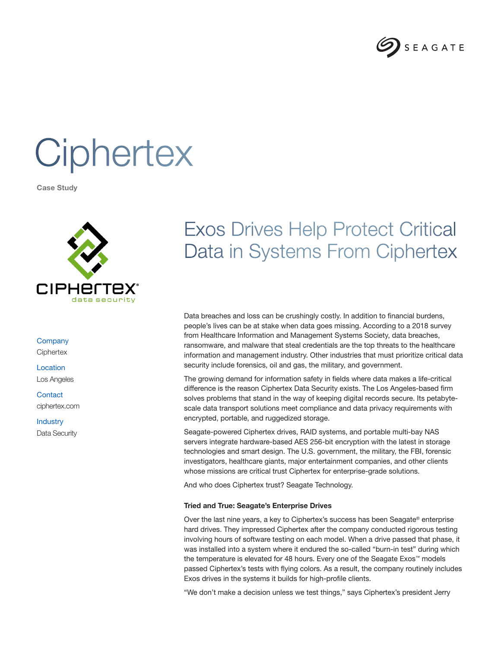

# **Ciphertex**

Case Study



**Company Ciphertex** 

Location Los Angeles

**Contact** ciphertex.com

**Industry** Data Security

## Exos Drives Help Protect Critical Data in Systems From Ciphertex

Data breaches and loss can be crushingly costly. In addition to financial burdens, people's lives can be at stake when data goes missing. According to a 2018 survey from Healthcare Information and Management Systems Society, data breaches, ransomware, and malware that steal credentials are the top threats to the healthcare information and management industry. Other industries that must prioritize critical data security include forensics, oil and gas, the military, and government.

The growing demand for information safety in fields where data makes a life-critical difference is the reason Ciphertex Data Security exists. The Los Angeles-based firm solves problems that stand in the way of keeping digital records secure. Its petabytescale data transport solutions meet compliance and data privacy requirements with encrypted, portable, and ruggedized storage.

Seagate-powered Ciphertex drives, RAID systems, and portable multi-bay NAS servers integrate hardware-based AES 256-bit encryption with the latest in storage technologies and smart design. The U.S. government, the military, the FBI, forensic investigators, healthcare giants, major entertainment companies, and other clients whose missions are critical trust Ciphertex for enterprise-grade solutions.

And who does Ciphertex trust? Seagate Technology.

### Tried and True: Seagate's Enterprise Drives

Over the last nine years, a key to Ciphertex's success has been Seagate<sup>®</sup> enterprise hard drives. They impressed Ciphertex after the company conducted rigorous testing involving hours of software testing on each model. When a drive passed that phase, it was installed into a system where it endured the so-called "burn-in test" during which the temperature is elevated for 48 hours. Every one of the Seagate Exos™ models passed Ciphertex's tests with flying colors. As a result, the company routinely includes Exos drives in the systems it builds for high-profile clients.

"We don't make a decision unless we test things," says Ciphertex's president Jerry